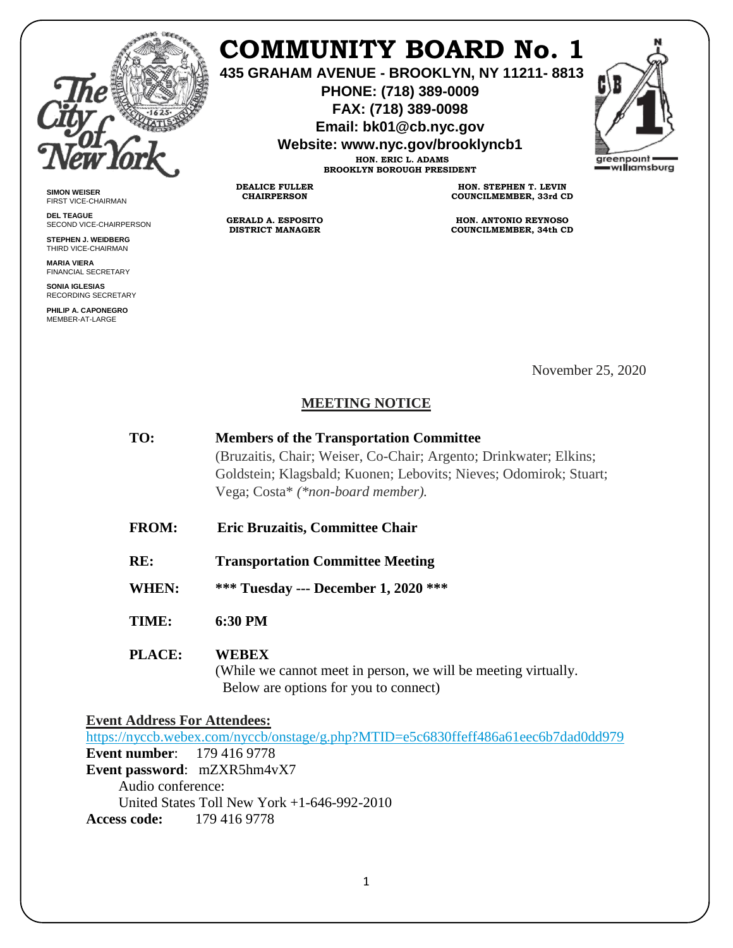

**SIMON WEISER** FIRST VICE-CHAIRMAN **DEL TEAGUE**

SECOND VICE-CHAIRPERSON **STEPHEN J. WEIDBERG** THIRD VICE-CHAIRMAN **MARIA VIERA** FINANCIAL SECRETARY **SONIA IGLESIAS** RECORDING SECRETARY **PHILIP A. CAPONEGRO** MEMBER-AT-LARGE

## **COMMUNITY BOARD No. 1**

**435 GRAHAM AVENUE - BROOKLYN, NY 11211- 8813**

**PHONE: (718) 389-0009 FAX: (718) 389-0098**

**Email: bk01@cb.nyc.gov**

**Website: www.nyc.gov/brooklyncb1**



**HON. ERIC L. ADAMS BROOKLYN BOROUGH PRESIDENT**

**DEALICE FULLER CHAIRPERSON**

**GERALD A. ESPOSITO DISTRICT MANAGER**

**HON. STEPHEN T. LEVIN COUNCILMEMBER, 33rd CD**

**HON. ANTONIO REYNOSO COUNCILMEMBER, 34th CD**

November 25, 2020

## **MEETING NOTICE**

| TO: | <b>Members of the Transportation Committee</b>                    |
|-----|-------------------------------------------------------------------|
|     | (Bruzaitis, Chair; Weiser, Co-Chair; Argento; Drinkwater; Elkins; |
|     | Goldstein; Klagsbald; Kuonen; Lebovits; Nieves; Odomirok; Stuart; |
|     | Vega; Costa* (*non-board member).                                 |

- **FROM: Eric Bruzaitis, Committee Chair**
- **RE: Transportation Committee Meeting**
- **WHEN: \*\*\* Tuesday --- December 1, 2020 \*\*\***
- **TIME: 6:30 PM**
- **PLACE: WEBEX**

(While we cannot meet in person, we will be meeting virtually. Below are options for you to connect)

**Event Address For Attendees:**

<https://nyccb.webex.com/nyccb/onstage/g.php?MTID=e5c6830ffeff486a61eec6b7dad0dd979> **Event number**: 179 416 9778 **Event password**: mZXR5hm4vX7 Audio conference: United States Toll New York +1-646-992-2010 **Access code:** 179 416 9778